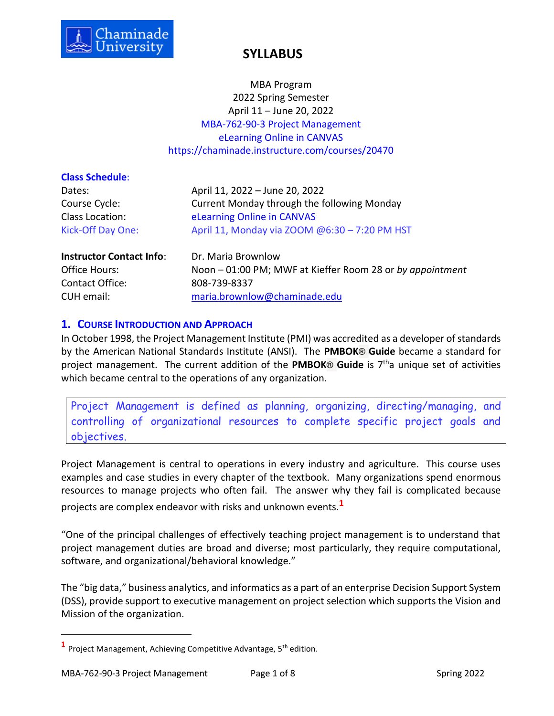

MBA Program 2022 Spring Semester April 11 – June 20, 2022 MBA-762-90-3 Project Management eLearning Online in CANVAS https://chaminade.instructure.com/courses/20470

| <b>Class Schedule:</b>          |                                                           |  |
|---------------------------------|-----------------------------------------------------------|--|
| Dates:                          | April 11, 2022 - June 20, 2022                            |  |
| Course Cycle:                   | Current Monday through the following Monday               |  |
| Class Location:                 | eLearning Online in CANVAS                                |  |
| Kick-Off Day One:               | April 11, Monday via ZOOM @6:30 - 7:20 PM HST             |  |
| <b>Instructor Contact Info:</b> | Dr. Maria Brownlow                                        |  |
| Office Hours:                   | Noon - 01:00 PM; MWF at Kieffer Room 28 or by appointment |  |
| Contact Office:                 | 808-739-8337                                              |  |

CUH email: [maria.brownlow@c](mailto:maria.brownlow@)haminade.edu

### **1. COURSE INTRODUCTION AND APPROACH**

In October 1998, the Project Management Institute (PMI) was accredited as a developer of standards by the American National Standards Institute (ANSI). The **PMBOK® Guide** became a standard for project management. The current addition of the **PMBOK® Guide** is 7 tha unique set of activities which became central to the operations of any organization.

Project Management is defined as planning, organizing, directing/managing, and controlling of organizational resources to complete specific project goals and objectives.

Project Management is central to operations in every industry and agriculture. This course uses examples and case studies in every chapter of the textbook. Many organizations spend enormous resources to manage projects who often fail. The answer why they fail is complicated because projects are complex endeavor with risks and unknown events.**<sup>1</sup>**

"One of the principal challenges of effectively teaching project management is to understand that project management duties are broad and diverse; most particularly, they require computational, software, and organizational/behavioral knowledge."

The "big data," business analytics, and informatics as a part of an enterprise Decision Support System (DSS), provide support to executive management on project selection which supports the Vision and Mission of the organization.

<sup>&</sup>lt;sup>1</sup> Project Management, Achieving Competitive Advantage, 5<sup>th</sup> edition.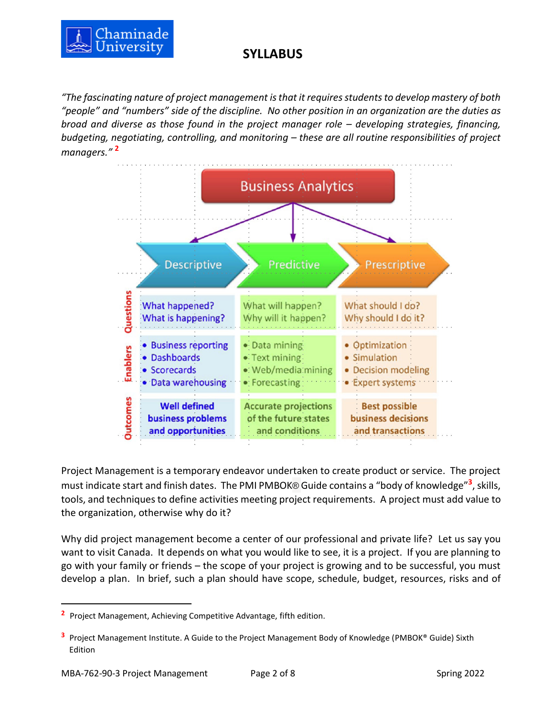

*"The fascinating nature of project management is that it requires students to develop mastery of both "people" and "numbers" side of the discipline. No other position in an organization are the duties as broad and diverse as those found in the project manager role – developing strategies, financing, budgeting, negotiating, controlling, and monitoring – these are all routine responsibilities of project managers."* **<sup>2</sup>**



Project Management is a temporary endeavor undertaken to create product or service. The project must indicate start and finish dates. The PMI PMBOK® Guide contains a "body of knowledge"**<sup>3</sup>** , skills, tools, and techniques to define activities meeting project requirements. A project must add value to the organization, otherwise why do it?

Why did project management become a center of our professional and private life? Let us say you want to visit Canada. It depends on what you would like to see, it is a project. If you are planning to go with your family or friends – the scope of your project is growing and to be successful, you must develop a plan. In brief, such a plan should have scope, schedule, budget, resources, risks and of

**<sup>2</sup>** Project Management, Achieving Competitive Advantage, fifth edition.

**<sup>3</sup>** Project Management Institute. A Guide to the Project Management Body of Knowledge (PMBOK® Guide) Sixth Edition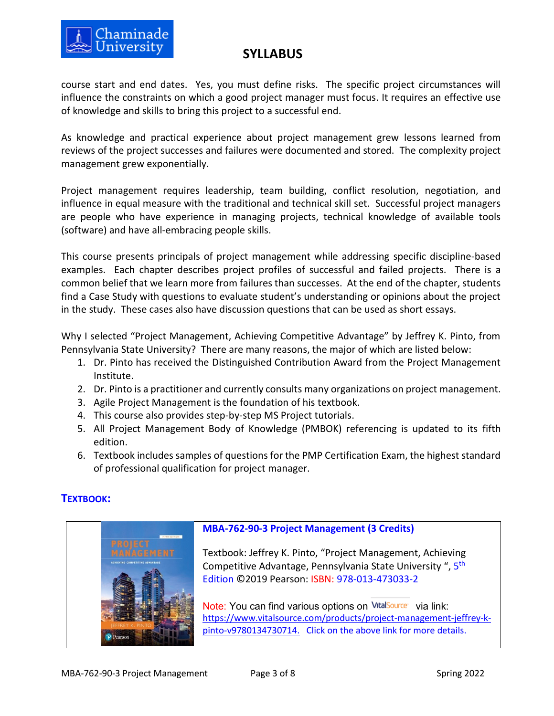

course start and end dates. Yes, you must define risks. The specific project circumstances will influence the constraints on which a good project manager must focus. It requires an effective use of knowledge and skills to bring this project to a successful end.

As knowledge and practical experience about project management grew lessons learned from reviews of the project successes and failures were documented and stored. The complexity project management grew exponentially.

Project management requires leadership, team building, conflict resolution, negotiation, and influence in equal measure with the traditional and technical skill set. Successful project managers are people who have experience in managing projects, technical knowledge of available tools (software) and have all-embracing people skills.

This course presents principals of project management while addressing specific discipline-based examples. Each chapter describes project profiles of successful and failed projects. There is a common belief that we learn more from failures than successes. At the end of the chapter, students find a Case Study with questions to evaluate student's understanding or opinions about the project in the study. These cases also have discussion questions that can be used as short essays.

Why I selected "Project Management, Achieving Competitive Advantage" by Jeffrey K. Pinto, from Pennsylvania State University? There are many reasons, the major of which are listed below:

- 1. Dr. Pinto has received the Distinguished Contribution Award from the Project Management Institute.
- 2. Dr. Pinto is a practitioner and currently consults many organizations on project management.
- 3. Agile Project Management is the foundation of his textbook.
- 4. This course also provides step-by-step MS Project tutorials.
- 5. All Project Management Body of Knowledge (PMBOK) referencing is updated to its fifth edition.
- 6. Textbook includes samples of questions for the PMP Certification Exam, the highest standard of professional qualification for project manager.

## **TEXTBOOK:**

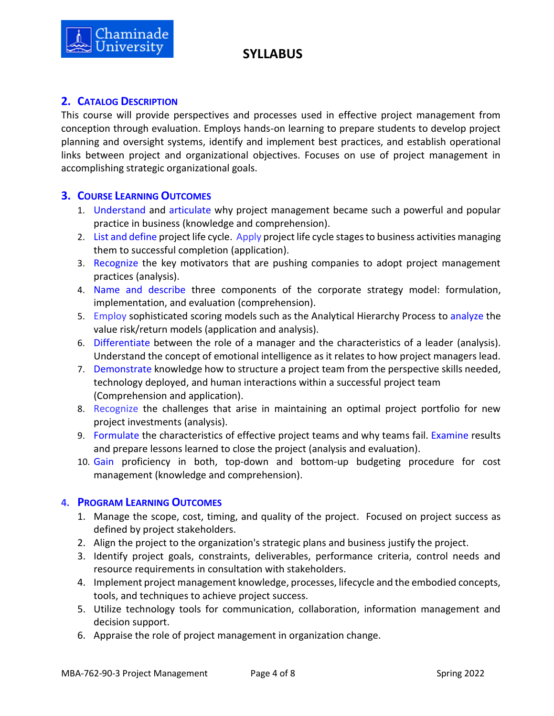

## **2. CATALOG DESCRIPTION**

This course will provide perspectives and processes used in effective project management from conception through evaluation. Employs hands-on learning to prepare students to develop project planning and oversight systems, identify and implement best practices, and establish operational links between project and organizational objectives. Focuses on use of project management in accomplishing strategic organizational goals.

### **3. COURSE LEARNING OUTCOMES**

- 1. Understand and articulate why project management became such a powerful and popular practice in business (knowledge and comprehension).
- 2. List and define project life cycle. Apply project life cycle stages to business activities managing them to successful completion (application).
- 3. Recognize the key motivators that are pushing companies to adopt project management practices (analysis).
- 4. Name and describe three components of the corporate strategy model: formulation, implementation, and evaluation (comprehension).
- 5. Employ sophisticated scoring models such as the Analytical Hierarchy Process to analyze the value risk/return models (application and analysis).
- 6. Differentiate between the role of a manager and the characteristics of a leader (analysis). Understand the concept of emotional intelligence as it relates to how project managers lead.
- 7. Demonstrate knowledge how to structure a project team from the perspective skills needed, technology deployed, and human interactions within a successful project team (Comprehension and application).
- 8. Recognize the challenges that arise in maintaining an optimal project portfolio for new project investments (analysis).
- 9. Formulate the characteristics of effective project teams and why teams fail. Examine results and prepare lessons learned to close the project (analysis and evaluation).
- 10. Gain proficiency in both, top-down and bottom-up budgeting procedure for cost management (knowledge and comprehension).

### **4. PROGRAM LEARNING OUTCOMES**

- 1. Manage the scope, cost, timing, and quality of the project. Focused on project success as defined by project stakeholders.
- 2. Align the project to the organization's strategic plans and business justify the project.
- 3. Identify project goals, constraints, deliverables, performance criteria, control needs and resource requirements in consultation with stakeholders.
- 4. Implement project management knowledge, processes, lifecycle and the embodied concepts, tools, and techniques to achieve project success.
- 5. Utilize technology tools for communication, collaboration, information management and decision support.
- 6. Appraise the role of project management in organization change.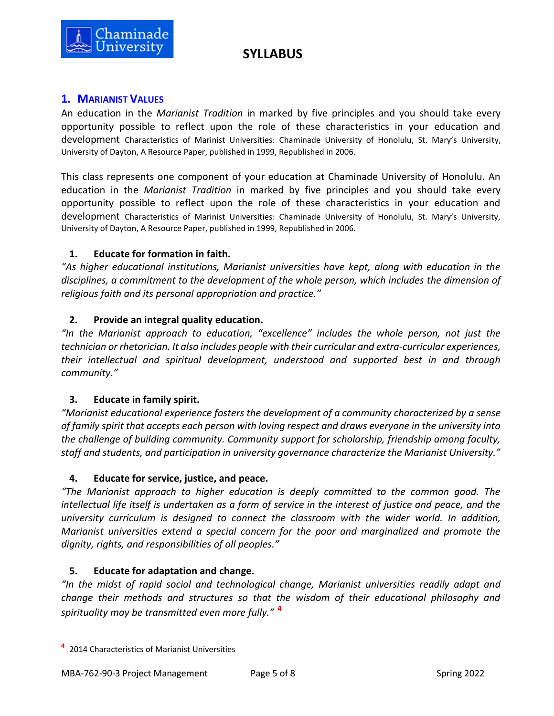



## **1. MARIANIST VALUES**

An education in the *Marianist Tradition* in marked by five principles and you should take every opportunity possible to reflect upon the role of these characteristics in your education and development Characteristics of Marinist Universities: Chaminade University of Honolulu, St. Mary's University, University of Dayton, A Resource Paper, published in 1999, Republished in 2006.

This class represents one component of your education at Chaminade University of Honolulu. An education in the *Marianist Tradition* in marked by five principles and you should take every opportunity possible to reflect upon the role of these characteristics in your education and development Characteristics of Marinist Universities: Chaminade University of Honolulu, St. Mary's University, University of Dayton, A Resource Paper, published in 1999, Republished in 2006.

## **1. Educate for formation in faith.**

*"As higher educational institutions, Marianist universities have kept, along with education in the disciplines, a commitment to the development of the whole person, which includes the dimension of religious faith and its personal appropriation and practice."*

## **2. Provide an integral quality education.**

*"In the Marianist approach to education, "excellence" includes the whole person, not just the technician or rhetorician. It also includes people with their curricular and extra-curricular experiences, their intellectual and spiritual development, understood and supported best in and through community."*

### **3. Educate in family spirit.**

*"Marianist educational experience fosters the development of a community characterized by a sense of family spirit that accepts each person with loving respect and draws everyone in the university into the challenge of building community. Community support for scholarship, friendship among faculty, staff and students, and participation in university governance characterize the Marianist University."*

### **4. Educate for service, justice, and peace.**

*"The Marianist approach to higher education is deeply committed to the common good. The intellectual life itself is undertaken as a form of service in the interest of justice and peace, and the university curriculum is designed to connect the classroom with the wider world. In addition, Marianist universities extend a special concern for the poor and marginalized and promote the dignity, rights, and responsibilities of all peoples."*

### **5. Educate for adaptation and change.**

*"In the midst of rapid social and technological change, Marianist universities readily adapt and change their methods and structures so that the wisdom of their educational philosophy and spirituality may be transmitted even more fully."* **<sup>4</sup>**

**<sup>4</sup>** 2014 Characteristics of Marianist Universities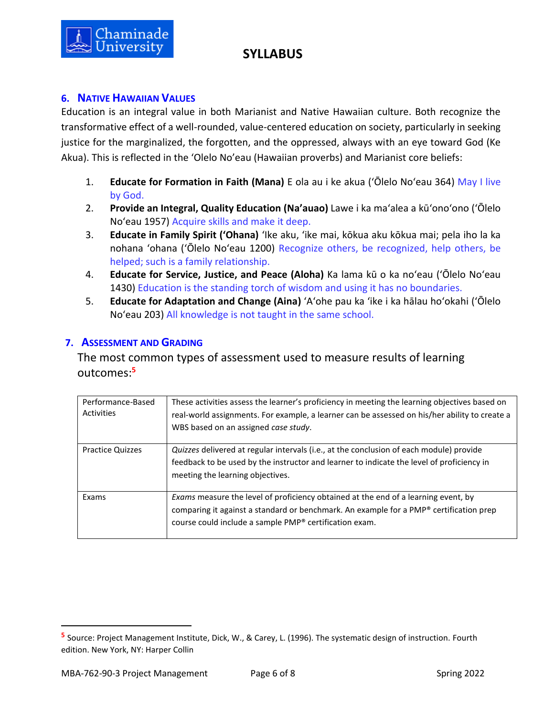

## **6. NATIVE HAWAIIAN VALUES**

Education is an integral value in both Marianist and Native Hawaiian culture. Both recognize the transformative effect of a well-rounded, value-centered education on society, particularly in seeking justice for the marginalized, the forgotten, and the oppressed, always with an eye toward God (Ke Akua). This is reflected in the 'Olelo No'eau (Hawaiian proverbs) and Marianist core beliefs:

- 1. **Educate for Formation in Faith (Mana)** E ola au i ke akua (ʻŌlelo Noʻeau 364) May I live by God.
- 2. **Provide an Integral, Quality Education (Na'auao)** Lawe i ka maʻalea a kūʻonoʻono (ʻŌlelo Noʻeau 1957) Acquire skills and make it deep.
- 3. **Educate in Family Spirit ('Ohana)** ʻIke aku, ʻike mai, kōkua aku kōkua mai; pela iho la ka nohana ʻohana ('Ōlelo Noʻeau 1200) Recognize others, be recognized, help others, be helped; such is a family relationship.
- 4. **Educate for Service, Justice, and Peace (Aloha)** Ka lama kū o ka noʻeau (ʻŌlelo Noʻeau 1430) Education is the standing torch of wisdom and using it has no boundaries.
- 5. **Educate for Adaptation and Change (Aina)** ʻAʻohe pau ka 'ike i ka hālau hoʻokahi (ʻŌlelo Noʻeau 203) All knowledge is not taught in the same school.

## **7. ASSESSMENT AND GRADING**

The most common types of assessment used to measure results of learning outcomes: **5**

| Performance-Based<br>Activities | These activities assess the learner's proficiency in meeting the learning objectives based on<br>real-world assignments. For example, a learner can be assessed on his/her ability to create a<br>WBS based on an assigned case study.        |
|---------------------------------|-----------------------------------------------------------------------------------------------------------------------------------------------------------------------------------------------------------------------------------------------|
| <b>Practice Quizzes</b>         | Quizzes delivered at regular intervals (i.e., at the conclusion of each module) provide<br>feedback to be used by the instructor and learner to indicate the level of proficiency in<br>meeting the learning objectives.                      |
| Exams                           | <i>Exams</i> measure the level of proficiency obtained at the end of a learning event, by<br>comparing it against a standard or benchmark. An example for a PMP® certification prep<br>course could include a sample PMP® certification exam. |

**<sup>5</sup>** Source: Project Management Institute, Dick, W., & Carey, L. (1996). The systematic design of instruction. Fourth edition. New York, NY: Harper Collin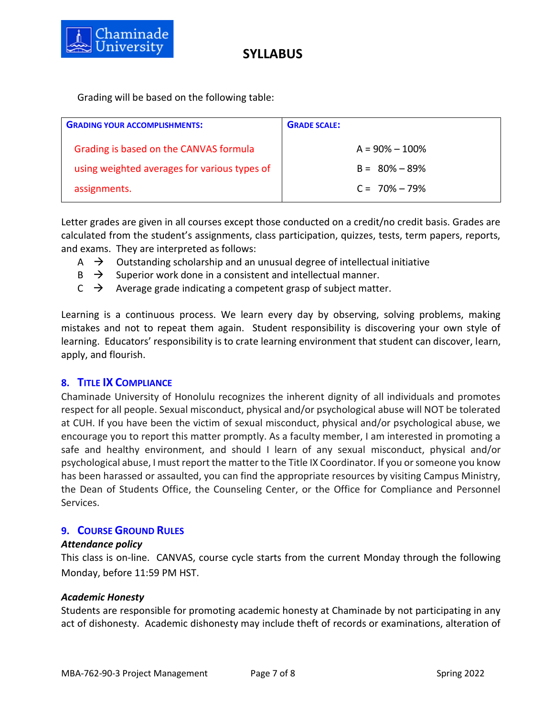

Grading will be based on the following table:

| <b>GRADING YOUR ACCOMPLISHMENTS:</b>         | <b>GRADE SCALE:</b> |
|----------------------------------------------|---------------------|
| Grading is based on the CANVAS formula       | $A = 90\% - 100\%$  |
| using weighted averages for various types of | $B = 80\% - 89\%$   |
| assignments.                                 | $C = 70\% - 79\%$   |

Letter grades are given in all courses except those conducted on a credit/no credit basis. Grades are calculated from the student's assignments, class participation, quizzes, tests, term papers, reports, and exams. They are interpreted as follows:

- $\overrightarrow{A}$  Outstanding scholarship and an unusual degree of intellectual initiative
- $\overrightarrow{B}$  Superior work done in a consistent and intellectual manner.
- $\overrightarrow{C}$   $\rightarrow$  Average grade indicating a competent grasp of subject matter.

Learning is a continuous process. We learn every day by observing, solving problems, making mistakes and not to repeat them again. Student responsibility is discovering your own style of learning. Educators' responsibility is to crate learning environment that student can discover, learn, apply, and flourish.

### **8. TITLE IX COMPLIANCE**

Chaminade University of Honolulu recognizes the inherent dignity of all individuals and promotes respect for all people. Sexual misconduct, physical and/or psychological abuse will NOT be tolerated at CUH. If you have been the victim of sexual misconduct, physical and/or psychological abuse, we encourage you to report this matter promptly. As a faculty member, I am interested in promoting a safe and healthy environment, and should I learn of any sexual misconduct, physical and/or psychological abuse, I must report the matter to the Title IX Coordinator. If you or someone you know has been harassed or assaulted, you can find the appropriate resources by visiting Campus Ministry, the Dean of Students Office, the Counseling Center, or the Office for Compliance and Personnel Services.

#### **9. COURSE GROUND RULES**

#### *Attendance policy*

This class is on-line. CANVAS, course cycle starts from the current Monday through the following Monday, before 11:59 PM HST.

#### *Academic Honesty*

Students are responsible for promoting academic honesty at Chaminade by not participating in any act of dishonesty. Academic dishonesty may include theft of records or examinations, alteration of